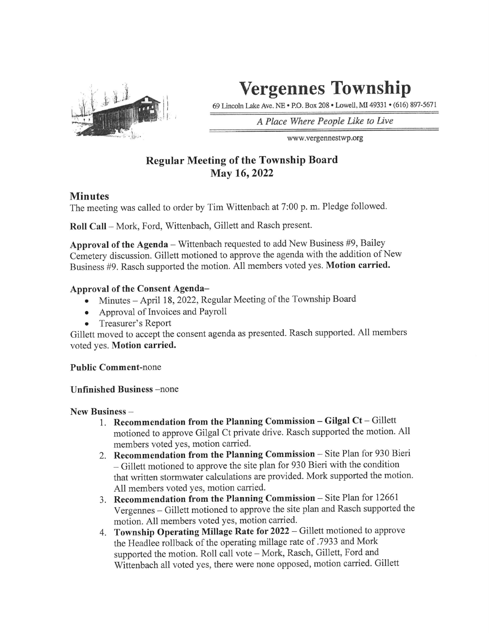

# Vergennes Township

69 Lincoln Lake Ave. NE • P.O. Box 208 • Lowell, MI 49331 • (616) 897-5671

A Place Where People Like to Live

www.vergennestwp .org

## Regular Meeting of the Township Board May 16,2022

### **Minutes**

The meeting was called to order by Tim Wittenbach at 7:00 p. m. Pledge followed.

Roll Call - Mork, Ford, Wittenbach, Gillett and Rasch present.

Approval of the Agenda – Wittenbach requested to add New Business  $#9$ , Bailey Cemetery discussion. Gillett motioned to approve the agenda with the addition of New Business #9. Rasch supported the motion. All members voted yes. Motion carried.

#### Approval of the Consent Agenda-

- Minutes April 18, 2022, Regular Meeting of the Township Board  $\bullet$
- Approval of Invoices and Payroll  $\bullet$
- 

• Treasurer's Report<br>Gillett moved to accept the consent agenda as presented. Rasch supported. All members voted yes. Motion carried.

Public Comment-none

#### Unfinished Business -none

New Business -

- 1. Recommendation from the Planning Commission  $-$  Gilgal Ct  $-$  Gillett motioned to approve Gilgal Ct private drive. Rasch supported the motion. All
- members voted yes, motion carried.<br>2. Recommendation from the Planning Commission Site Plan for 930 Bieri - Gillett motioned to approve the site plan for 930 Bieri with the condition that written stormwater calculations are provided. Mork supported the motion.
- All members voted yes, motion carried.<br>
3. Recommendation from the Planning Commission Site Plan for 12661<br>
Vergennes Gillett motioned to approve the site plan and Rasch supported the<br>
motion. All members voted yes, mo
- 4. Township Operating Millage Rate for  $2022$  Gillett motioned to approve<br>the Headlee rollback of the operating millage rate of .7933 and Mork<br>supported the motion. Roll call vote Mork, Rasch, Gillett, Ford and<br>Witten